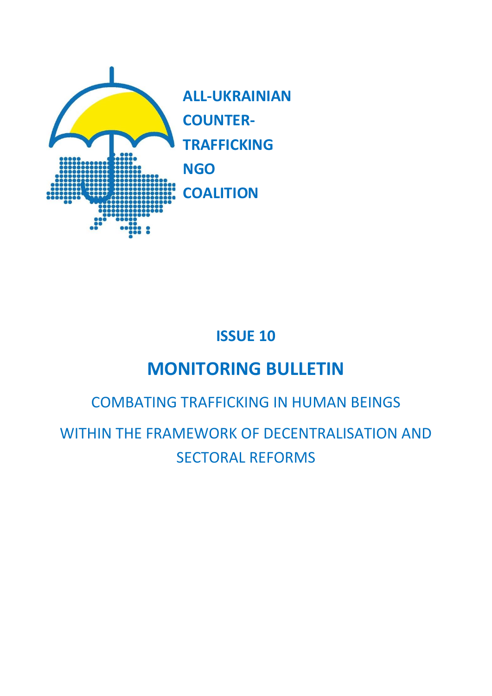

**ALL-UKRAINIAN COUNTER-TRAFFICKING NGO COALITION**

## **ISSUE 10**

# **MONITORING BULLETIN**

## COMBATING TRAFFICKING IN HUMAN BEINGS

WITHIN THE FRAMEWORK OF DECENTRALISATION AND SECTORAL REFORMS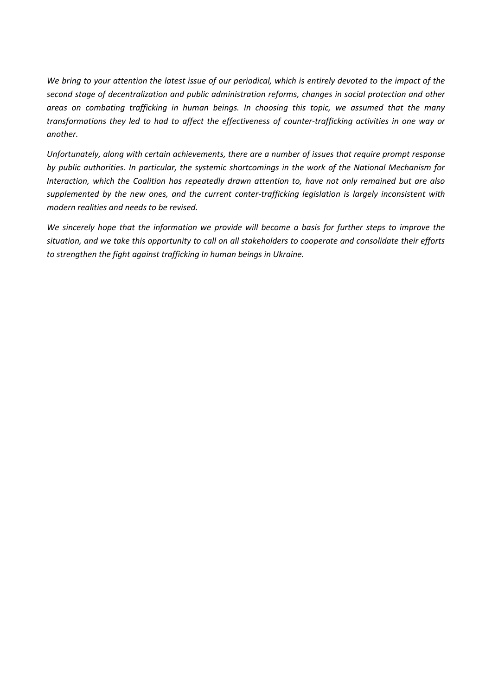*We bring to your attention the latest issue of our periodical, which is entirely devoted to the impact of the second stage of decentralization and public administration reforms, changes in social protection and other areas on combating trafficking in human beings. In choosing this topic, we assumed that the many transformations they led to had to affect the effectiveness of counter-trafficking activities in one way or another.* 

*Unfortunately, along with certain achievements, there are a number of issues that require prompt response by public authorities. In particular, the systemic shortcomings in the work of the National Mechanism for Interaction, which the Coalition has repeatedly drawn attention to, have not only remained but are also supplemented by the new ones, and the current conter-trafficking legislation is largely inconsistent with modern realities and needs to be revised.*

*We sincerely hope that the information we provide will become a basis for further steps to improve the situation, and we take this opportunity to call on all stakeholders to cooperate and consolidate their efforts to strengthen the fight against trafficking in human beings in Ukraine.*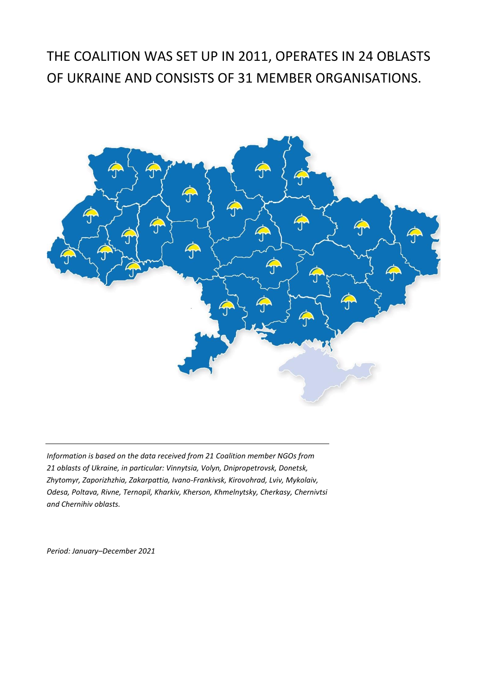## THE COALITION WAS SET UP IN 2011, OPERATES IN 24 OBLASTS OF UKRAINE AND CONSISTS OF 31 MEMBER ORGANISATIONS.



*Information is based on the data received from 21 Coalition member NGOs from 21 oblasts of Ukraine, in particular: Vinnytsia, Volyn, Dnipropetrovsk, Donetsk, Zhytomyr, Zaporizhzhia, Zakarpattia, Ivano-Frankivsk, Kirovohrad, Lviv, Mykolaiv, Odesa, Poltava, Rivne, Ternopil, Kharkiv, Kherson, Khmelnytsky, Cherkasy, Chernivtsi and Chernihiv oblasts.*

*Period: January–December 2021*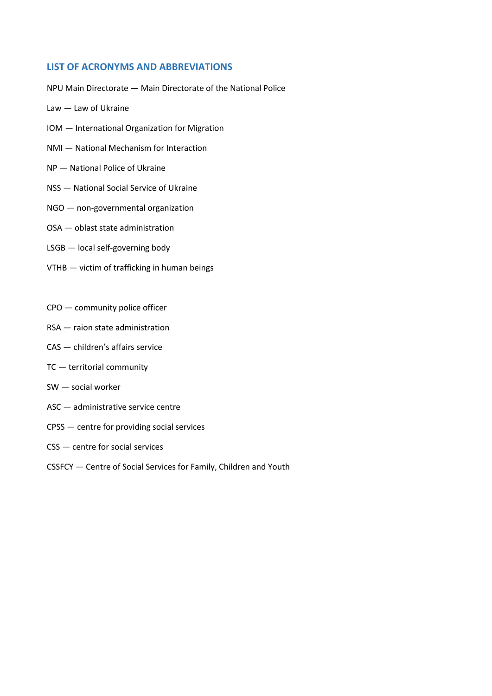### **LIST OF ACRONYMS AND ABBREVIATIONS**

NPU Main Directorate — Main Directorate of the National Police

- Law Law of Ukraine
- IOM International Organization for Migration
- NMI National Mechanism for Interaction
- NP National Police of Ukraine
- NSS National Social Service of Ukraine
- NGO non-governmental organization
- OSA oblast state administration
- LSGB local self-governing body
- VTHB victim of trafficking in human beings
- CPO community police officer
- RSA raion state administration
- CAS children's affairs service
- TC territorial community
- SW social worker
- ASC administrative service centre
- CPSS centre for providing social services
- CSS centre for social services
- CSSFCY Centre of Social Services for Family, Children and Youth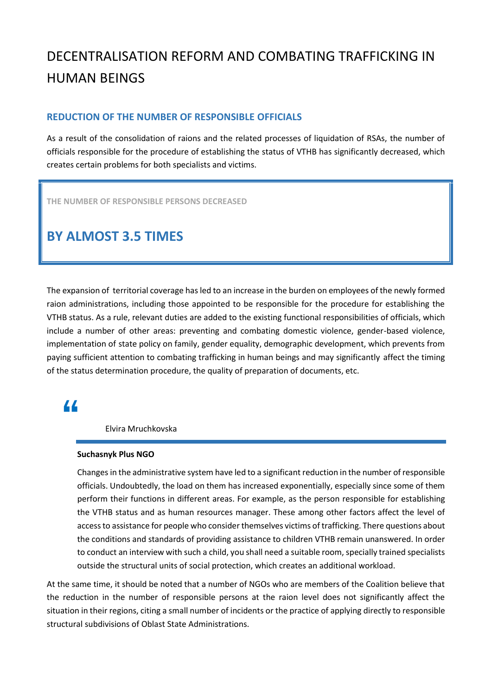## DECENTRALISATION REFORM AND COMBATING TRAFFICKING IN HUMAN BEINGS

### **REDUCTION OF THE NUMBER OF RESPONSIBLE OFFICIALS**

As a result of the consolidation of raions and the related processes of liquidation of RSAs, the number of officials responsible for the procedure of establishing the status of VTHB has significantly decreased, which creates certain problems for both specialists and victims.

**THE NUMBER OF RESPONSIBLE PERSONS DECREASED**

## **BY ALMOST 3.5 TIMES**

The expansion of territorial coverage has led to an increase in the burden on employees of the newly formed raion administrations, including those appointed to be responsible for the procedure for establishing the VTHB status. As a rule, relevant duties are added to the existing functional responsibilities of officials, which include a number of other areas: preventing and combating domestic violence, gender-based violence, implementation of state policy on family, gender equality, demographic development, which prevents from paying sufficient attention to combating trafficking in human beings and may significantly affect the timing of the status determination procedure, the quality of preparation of documents, etc.

### **"**

Elvira Mruchkovska

### **Suchasnyk Plus NGO**

Changes in the administrative system have led to a significant reduction in the number of responsible officials. Undoubtedly, the load on them has increased exponentially, especially since some of them perform their functions in different areas. For example, as the person responsible for establishing the VTHB status and as human resources manager. These among other factors affect the level of access to assistance for people who consider themselves victims of trafficking. There questions about the conditions and standards of providing assistance to children VTHB remain unanswered. In order to conduct an interview with such a child, you shall need a suitable room, specially trained specialists outside the structural units of social protection, which creates an additional workload.

At the same time, it should be noted that a number of NGOs who are members of the Coalition believe that the reduction in the number of responsible persons at the raion level does not significantly affect the situation in their regions, citing a small number of incidents or the practice of applying directly to responsible structural subdivisions of Oblast State Administrations.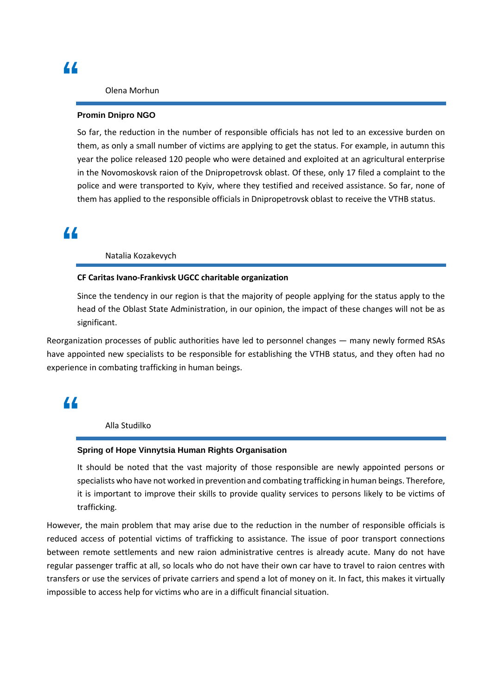### Olena Morhun

#### **Promin Dnipro NGO**

So far, the reduction in the number of responsible officials has not led to an excessive burden on them, as only a small number of victims are applying to get the status. For example, in autumn this year the police released 120 people who were detained and exploited at an agricultural enterprise in the Novomoskovsk raion of the Dnipropetrovsk oblast. Of these, only 17 filed a complaint to the police and were transported to Kyiv, where they testified and received assistance. So far, none of them has applied to the responsible officials in Dnipropetrovsk oblast to receive the VTHB status.

### **"**

#### Natalia Kozakevych

### **CF Caritas Ivano-Frankivsk UGCC charitable organization**

Since the tendency in our region is that the majority of people applying for the status apply to the head of the Oblast State Administration, in our opinion, the impact of these changes will not be as significant.

Reorganization processes of public authorities have led to personnel changes — many newly formed RSAs have appointed new specialists to be responsible for establishing the VTHB status, and they often had no experience in combating trafficking in human beings.

### **"**

Alla Studilko

#### **Spring of Hope Vinnytsia Human Rights Organisation**

It should be noted that the vast majority of those responsible are newly appointed persons or specialists who have not worked in prevention and combating trafficking in human beings. Therefore, it is important to improve their skills to provide quality services to persons likely to be victims of trafficking.

However, the main problem that may arise due to the reduction in the number of responsible officials is reduced access of potential victims of trafficking to assistance. The issue of poor transport connections between remote settlements and new raion administrative centres is already acute. Many do not have regular passenger traffic at all, so locals who do not have their own car have to travel to raion centres with transfers or use the services of private carriers and spend a lot of money on it. In fact, this makes it virtually impossible to access help for victims who are in a difficult financial situation.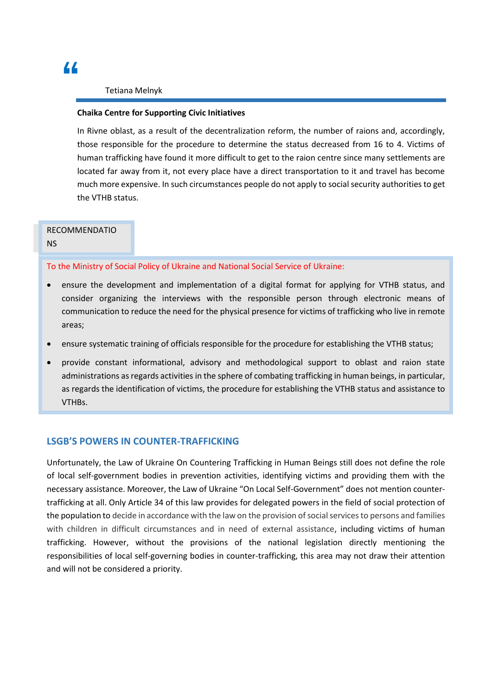### Tetiana Melnyk

### **Chaika Centre for Supporting Civic Initiatives**

In Rivne oblast, as a result of the decentralization reform, the number of raions and, accordingly, those responsible for the procedure to determine the status decreased from 16 to 4. Victims of human trafficking have found it more difficult to get to the raion centre since many settlements are located far away from it, not every place have a direct transportation to it and travel has become much more expensive. In such circumstances people do not apply to social security authorities to get the VTHB status.

### RECOMMENDATIO

NS

To the Ministry of Social Policy of Ukraine and National Social Service of Ukraine:

- ensure the development and implementation of a digital format for applying for VTHB status, and consider organizing the interviews with the responsible person through electronic means of communication to reduce the need for the physical presence for victims of trafficking who live in remote areas;
- ensure systematic training of officials responsible for the procedure for establishing the VTHB status;
- provide constant informational, advisory and methodological support to oblast and raion state administrations as regards activities in the sphere of combating trafficking in human beings, in particular, as regards the identification of victims, the procedure for establishing the VTHB status and assistance to VTHBs.

### **LSGB'S POWERS IN COUNTER-TRAFFICKING**

Unfortunately, the Law of Ukraine On Countering Trafficking in Human Beings still does not define the role of local self-government bodies in prevention activities, identifying victims and providing them with the necessary assistance. Moreover, the Law of Ukraine "On Local Self-Government" does not mention countertrafficking at all. Only Article 34 of this law provides for delegated powers in the field of social protection of the population to decide in accordance with the law on the provision of social services to persons and families with children in difficult circumstances and in need of external assistance, including victims of human trafficking. However, without the provisions of the national legislation directly mentioning the responsibilities of local self-governing bodies in counter-trafficking, this area may not draw their attention and will not be considered a priority.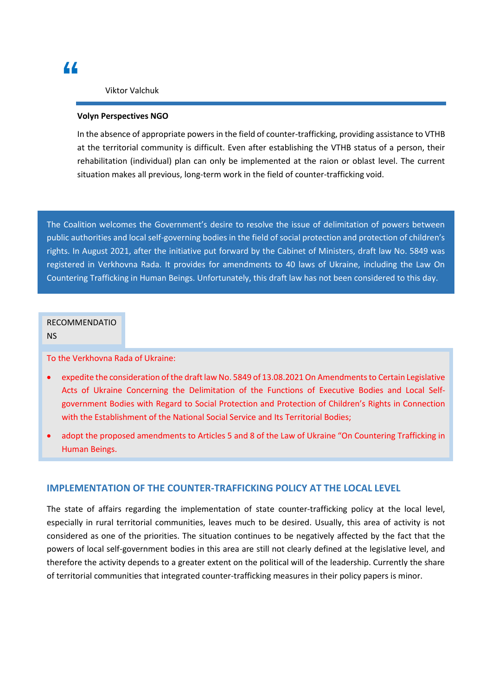#### Viktor Valchuk

#### **Volyn Perspectives NGO**

In the absence of appropriate powers in the field of counter-trafficking, providing assistance to VTHB at the territorial community is difficult. Even after establishing the VTHB status of a person, their rehabilitation (individual) plan can only be implemented at the raion or oblast level. The current situation makes all previous, long-term work in the field of counter-trafficking void.

The Coalition welcomes the Government's desire to resolve the issue of delimitation of powers between public authorities and local self-governing bodies in the field of social protection and protection of children's rights. In August 2021, after the initiative put forward by the Cabinet of Ministers, draft law No. 5849 was registered in Verkhovna Rada. It provides for amendments to 40 laws of Ukraine, including the Law On Countering Trafficking in Human Beings. Unfortunately, this draft law has not been considered to this day.

### RECOMMENDATIO

#### NS

### To the Verkhovna Rada of Ukraine:

- expedite the consideration of the draft law No. 5849 of 13.08.2021 On Amendments to Certain Legislative Acts of Ukraine Concerning the Delimitation of the Functions of Executive Bodies and Local Selfgovernment Bodies with Regard to Social Protection and Protection of Children's Rights in Connection with the Establishment of the National Social Service and Its Territorial Bodies;
- adopt the proposed amendments to Articles 5 and 8 of the Law of Ukraine "On Countering Trafficking in Human Beings.

### **IMPLEMENTATION OF THE COUNTER-TRAFFICKING POLICY AT THE LOCAL LEVEL**

The state of affairs regarding the implementation of state counter-trafficking policy at the local level, especially in rural territorial communities, leaves much to be desired. Usually, this area of activity is not considered as one of the priorities. The situation continues to be negatively affected by the fact that the powers of local self-government bodies in this area are still not clearly defined at the legislative level, and therefore the activity depends to a greater extent on the political will of the leadership. Currently the share of territorial communities that integrated counter-trafficking measures in their policy papers is minor.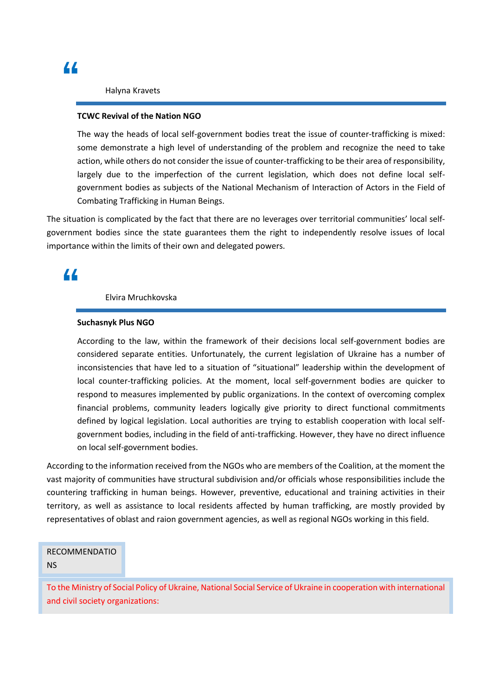Halyna Kravets

#### **TCWC Revival of the Nation NGO**

The way the heads of local self-government bodies treat the issue of counter-trafficking is mixed: some demonstrate a high level of understanding of the problem and recognize the need to take action, while others do not consider the issue of counter-trafficking to be their area of responsibility, largely due to the imperfection of the current legislation, which does not define local selfgovernment bodies as subjects of the National Mechanism of Interaction of Actors in the Field of Combating Trafficking in Human Beings.

The situation is complicated by the fact that there are no leverages over territorial communities' local selfgovernment bodies since the state guarantees them the right to independently resolve issues of local importance within the limits of their own and delegated powers.

### **"**

### Elvira Mruchkovska

### **Suchasnyk Plus NGO**

According to the law, within the framework of their decisions local self-government bodies are considered separate entities. Unfortunately, the current legislation of Ukraine has a number of inconsistencies that have led to a situation of "situational" leadership within the development of local counter-trafficking policies. At the moment, local self-government bodies are quicker to respond to measures implemented by public organizations. In the context of overcoming complex financial problems, community leaders logically give priority to direct functional commitments defined by logical legislation. Local authorities are trying to establish cooperation with local selfgovernment bodies, including in the field of anti-trafficking. However, they have no direct influence on local self-government bodies.

According to the information received from the NGOs who are members of the Coalition, at the moment the vast majority of communities have structural subdivision and/or officials whose responsibilities include the countering trafficking in human beings. However, preventive, educational and training activities in their territory, as well as assistance to local residents affected by human trafficking, are mostly provided by representatives of oblast and raion government agencies, as well as regional NGOs working in this field.

### RECOMMENDATIO NS

To the Ministry of Social Policy of Ukraine, National Social Service of Ukraine in cooperation with international and civil society organizations: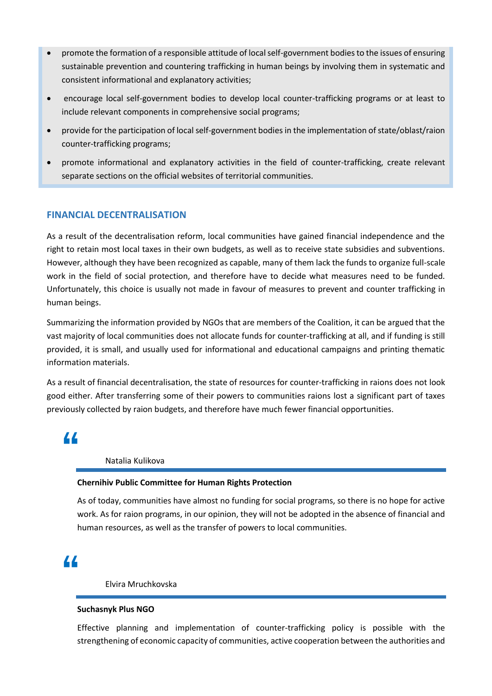- promote the formation of a responsible attitude of local self-government bodies to the issues of ensuring sustainable prevention and countering trafficking in human beings by involving them in systematic and consistent informational and explanatory activities;
- encourage local self-government bodies to develop local counter-trafficking programs or at least to include relevant components in comprehensive social programs;
- provide for the participation of local self-government bodies in the implementation of state/oblast/raion counter-trafficking programs;
- promote informational and explanatory activities in the field of counter-trafficking, create relevant separate sections on the official websites of territorial communities.

### **FINANCIAL DECENTRALISATION**

As a result of the decentralisation reform, local communities have gained financial independence and the right to retain most local taxes in their own budgets, as well as to receive state subsidies and subventions. However, although they have been recognized as capable, many of them lack the funds to organize full-scale work in the field of social protection, and therefore have to decide what measures need to be funded. Unfortunately, this choice is usually not made in favour of measures to prevent and counter trafficking in human beings.

Summarizing the information provided by NGOs that are members of the Coalition, it can be argued that the vast majority of local communities does not allocate funds for counter-trafficking at all, and if funding is still provided, it is small, and usually used for informational and educational campaigns and printing thematic information materials.

As a result of financial decentralisation, the state of resources for counter-trafficking in raions does not look good either. After transferring some of their powers to communities raions lost a significant part of taxes previously collected by raion budgets, and therefore have much fewer financial opportunities.

**"**

### Natalia Kulikova

### **Chernihiv Public Committee for Human Rights Protection**

As of today, communities have almost no funding for social programs, so there is no hope for active work. As for raion programs, in our opinion, they will not be adopted in the absence of financial and human resources, as well as the transfer of powers to local communities.

## **"**

### Elvira Mruchkovska

### **Suchasnyk Plus NGO**

Effective planning and implementation of counter-trafficking policy is possible with the strengthening of economic capacity of communities, active cooperation between the authorities and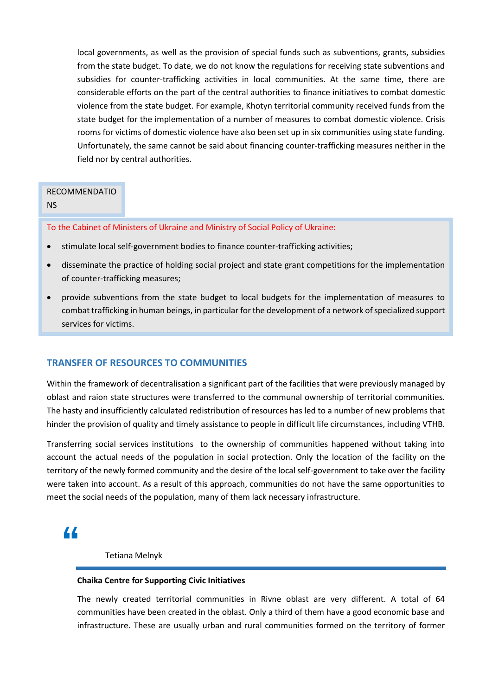local governments, as well as the provision of special funds such as subventions, grants, subsidies from the state budget. To date, we do not know the regulations for receiving state subventions and subsidies for counter-trafficking activities in local communities. At the same time, there are considerable efforts on the part of the central authorities to finance initiatives to combat domestic violence from the state budget. For example, Khotyn territorial community received funds from the state budget for the implementation of a number of measures to combat domestic violence. Crisis rooms for victims of domestic violence have also been set up in six communities using state funding. Unfortunately, the same cannot be said about financing counter-trafficking measures neither in the field nor by central authorities.

### RECOMMENDATIO

### NS

To the Cabinet of Ministers of Ukraine and Ministry of Social Policy of Ukraine:

- stimulate local self-government bodies to finance counter-trafficking activities;
- disseminate the practice of holding social project and state grant competitions for the implementation of counter-trafficking measures;
- provide subventions from the state budget to local budgets for the implementation of measures to combat trafficking in human beings, in particular for the development of a network of specialized support services for victims.

### **TRANSFER OF RESOURCES TO COMMUNITIES**

Within the framework of decentralisation a significant part of the facilities that were previously managed by oblast and raion state structures were transferred to the communal ownership of territorial communities. The hasty and insufficiently calculated redistribution of resources has led to a number of new problems that hinder the provision of quality and timely assistance to people in difficult life circumstances, including VTHB.

Transferring social services institutions to the ownership of communities happened without taking into account the actual needs of the population in social protection. Only the location of the facility on the territory of the newly formed community and the desire of the local self-government to take over the facility were taken into account. As a result of this approach, communities do not have the same opportunities to meet the social needs of the population, many of them lack necessary infrastructure.

### **"**

Tetiana Melnyk

### **Chaika Centre for Supporting Civic Initiatives**

The newly created territorial communities in Rivne oblast are very different. A total of 64 communities have been created in the oblast. Only a third of them have a good economic base and infrastructure. These are usually urban and rural communities formed on the territory of former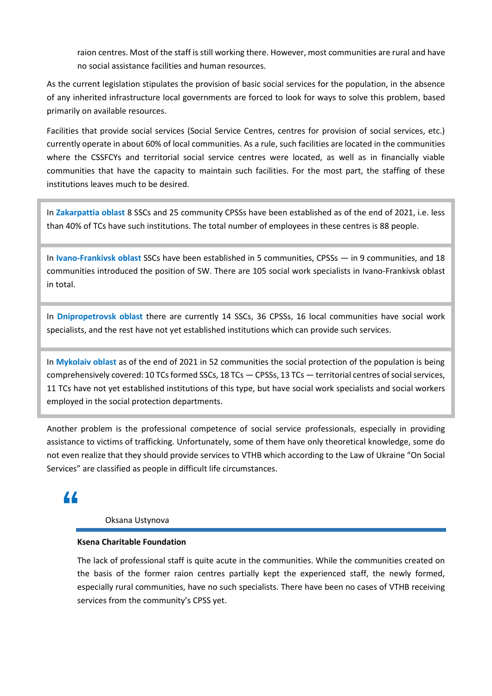raion centres. Most of the staff is still working there. However, most communities are rural and have no social assistance facilities and human resources.

As the current legislation stipulates the provision of basic social services for the population, in the absence of any inherited infrastructure local governments are forced to look for ways to solve this problem, based primarily on available resources.

Facilities that provide social services (Social Service Centres, centres for provision of social services, etc.) currently operate in about 60% of local communities. As a rule, such facilities are located in the communities where the CSSFCYs and territorial social service centres were located, as well as in financially viable communities that have the capacity to maintain such facilities. For the most part, the staffing of these institutions leaves much to be desired.

In **Zakarpattia oblast** 8 SSCs and 25 community CPSSs have been established as of the end of 2021, i.e. less than 40% of TCs have such institutions. The total number of employees in these centres is 88 people.

In **Ivano-Frankivsk oblast** SSCs have been established in 5 communities, CPSSs — in 9 communities, and 18 communities introduced the position of SW. There are 105 social work specialists in Ivano-Frankivsk oblast in total.

In **Dnipropetrovsk oblast** there are currently 14 SSCs, 36 CPSSs, 16 local communities have social work specialists, and the rest have not yet established institutions which can provide such services.

In **Mykolaiv oblast** as of the end of 2021 in 52 communities the social protection of the population is being comprehensively covered: 10 TCs formed SSCs, 18 TCs — CPSSs, 13 TCs — territorial centres of social services, 11 TCs have not yet established institutions of this type, but have social work specialists and social workers employed in the social protection departments.

Another problem is the professional competence of social service professionals, especially in providing assistance to victims of trafficking. Unfortunately, some of them have only theoretical knowledge, some do not even realize that they should provide services to VTHB which according to the Law of Ukraine "On Social Services" are classified as people in difficult life circumstances.

## **"**

### Oksana Ustynova

### **Ksena Charitable Foundation**

The lack of professional staff is quite acute in the communities. While the communities created on the basis of the former raion centres partially kept the experienced staff, the newly formed, especially rural communities, have no such specialists. There have been no cases of VTHB receiving services from the community's CPSS yet.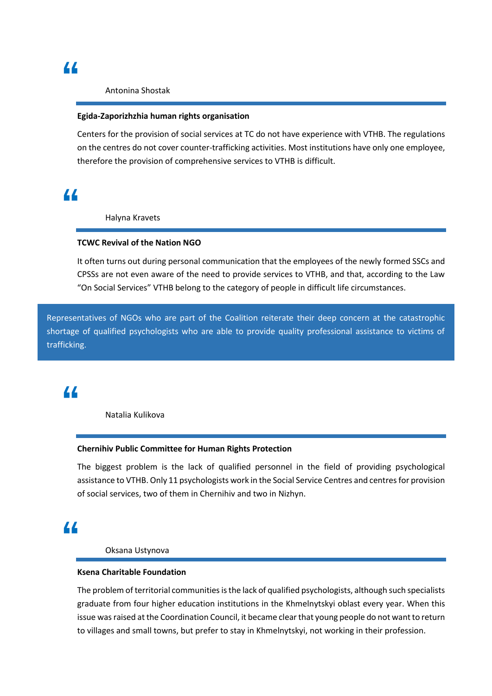#### Antonina Shostak

### **Egida-Zaporizhzhia human rights organisation**

Centers for the provision of social services at TC do not have experience with VTHB. The regulations on the centres do not cover counter-trafficking activities. Most institutions have only one employee, therefore the provision of comprehensive services to VTHB is difficult.

## **"**

Halyna Kravets

### **TCWC Revival of the Nation NGO**

It often turns out during personal communication that the employees of the newly formed SSCs and CPSSs are not even aware of the need to provide services to VTHB, and that, according to the Law "On Social Services" VTHB belong to the category of people in difficult life circumstances.

Representatives of NGOs who are part of the Coalition reiterate their deep concern at the catastrophic shortage of qualified psychologists who are able to provide quality professional assistance to victims of trafficking.

## **"**

Natalia Kulikova

### **Chernihiv Public Committee for Human Rights Protection**

The biggest problem is the lack of qualified personnel in the field of providing psychological assistance to VTHB. Only 11 psychologists work in the Social Service Centres and centres for provision of social services, two of them in Chernihiv and two in Nizhyn.

## **"**

Oksana Ustynova

#### **Ksena Charitable Foundation**

The problem of territorial communities is the lack of qualified psychologists, although such specialists graduate from four higher education institutions in the Khmelnytskyi oblast every year. When this issue was raised at the Coordination Council, it became clear that young people do not want to return to villages and small towns, but prefer to stay in Khmelnytskyi, not working in their profession.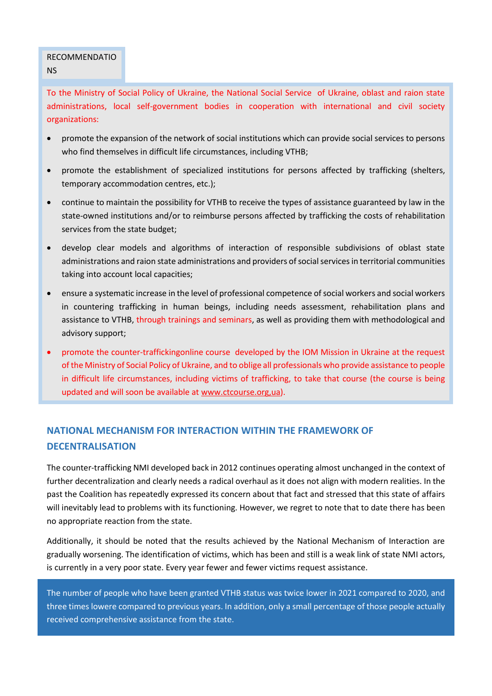### RECOMMENDATIO NS

To the Ministry of Social Policy of Ukraine, the National Social Service of Ukraine, oblast and raion state administrations, local self-government bodies in cooperation with international and civil society organizations:

- promote the expansion of the network of social institutions which can provide social services to persons who find themselves in difficult life circumstances, including VTHB;
- promote the establishment of specialized institutions for persons affected by trafficking (shelters, temporary accommodation centres, etc.);
- continue to maintain the possibility for VTHB to receive the types of assistance guaranteed by law in the state-owned institutions and/or to reimburse persons affected by trafficking the costs of rehabilitation services from the state budget;
- develop clear models and algorithms of interaction of responsible subdivisions of oblast state administrations and raion state administrations and providers of social services in territorial communities taking into account local capacities;
- ensure a systematic increase in the level of professional competence of social workers and social workers in countering trafficking in human beings, including needs assessment, rehabilitation plans and assistance to VTHB, through trainings and seminars, as well as providing them with methodological and advisory support;
- promote the counter-traffickingonline course developed by the IOM Mission in Ukraine at the request of the Ministry of Social Policy of Ukraine, and to oblige all professionals who provide assistance to people in difficult life circumstances, including victims of trafficking, to take that course (the course is being updated and will soon be available at [www.ctcourse](http://www.ctcours/).org,ua).

### **NATIONAL MECHANISM FOR INTERACTION WITHIN THE FRAMEWORK OF DECENTRALISATION**

The counter-trafficking NMI developed back in 2012 continues operating almost unchanged in the context of further decentralization and clearly needs a radical overhaul as it does not align with modern realities. In the past the Coalition has repeatedly expressed its concern about that fact and stressed that this state of affairs will inevitably lead to problems with its functioning. However, we regret to note that to date there has been no appropriate reaction from the state.

Additionally, it should be noted that the results achieved by the National Mechanism of Interaction are gradually worsening. The identification of victims, which has been and still is a weak link of state NMI actors, is currently in a very poor state. Every year fewer and fewer victims request assistance.

The number of people who have been granted VTHB status was twice lower in 2021 compared to 2020, and three times lowere compared to previous years. In addition, only a small percentage of those people actually received comprehensive assistance from the state.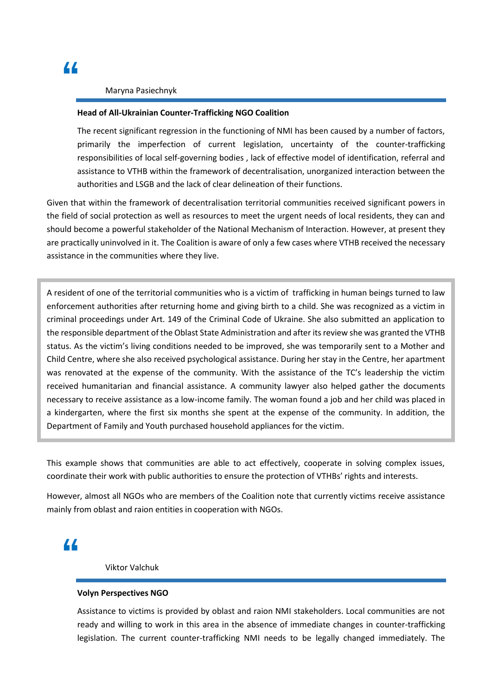### Maryna Pasiechnyk

### **Head of All-Ukrainian Counter-Trafficking NGO Coalition**

The recent significant regression in the functioning of NMI has been caused by a number of factors, primarily the imperfection of current legislation, uncertainty of the counter-trafficking responsibilities of local self-governing bodies , lack of effective model of identification, referral and assistance to VTHB within the framework of decentralisation, unorganized interaction between the authorities and LSGB and the lack of clear delineation of their functions.

Given that within the framework of decentralisation territorial communities received significant powers in the field of social protection as well as resources to meet the urgent needs of local residents, they can and should become a powerful stakeholder of the National Mechanism of Interaction. However, at present they are practically uninvolved in it. The Coalition is aware of only a few cases where VTHB received the necessary assistance in the communities where they live.

A resident of one of the territorial communities who is a victim of trafficking in human beings turned to law enforcement authorities after returning home and giving birth to a child. She was recognized as a victim in criminal proceedings under Art. 149 of the Criminal Code of Ukraine. She also submitted an application to the responsible department of the Oblast State Administration and after its review she was granted the VTHB status. As the victim's living conditions needed to be improved, she was temporarily sent to a Mother and Child Centre, where she also received psychological assistance. During her stay in the Centre, her apartment was renovated at the expense of the community. With the assistance of the TC's leadership the victim received humanitarian and financial assistance. A community lawyer also helped gather the documents necessary to receive assistance as a low-income family. The woman found a job and her child was placed in a kindergarten, where the first six months she spent at the expense of the community. In addition, the Department of Family and Youth purchased household appliances for the victim.

This example shows that communities are able to act effectively, cooperate in solving complex issues, coordinate their work with public authorities to ensure the protection of VTHBs' rights and interests.

However, almost all NGOs who are members of the Coalition note that currently victims receive assistance mainly from oblast and raion entities in cooperation with NGOs.

### **"**

Viktor Valchuk

#### **Volyn Perspectives NGO**

Assistance to victims is provided by oblast and raion NMI stakeholders. Local communities are not ready and willing to work in this area in the absence of immediate changes in counter-trafficking legislation. The current counter-trafficking NMI needs to be legally changed immediately. The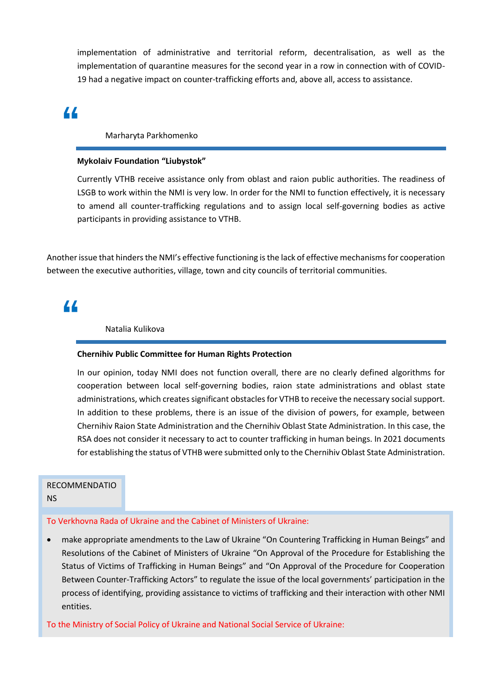implementation of administrative and territorial reform, decentralisation, as well as the implementation of quarantine measures for the second year in a row in connection with of COVID-19 had a negative impact on counter-trafficking efforts and, above all, access to assistance.

## **"**

Marharyta Parkhomenko

### **Mykolaiv Foundation "Liubystok"**

Currently VTHB receive assistance only from oblast and raion public authorities. The readiness of LSGB to work within the NMI is very low. In order for the NMI to function effectively, it is necessary to amend all counter-trafficking regulations and to assign local self-governing bodies as active participants in providing assistance to VTHB.

Another issue that hinders the NMI's effective functioning is the lack of effective mechanisms for cooperation between the executive authorities, village, town and city councils of territorial communities.

### **"**

Natalia Kulikova

#### **Chernihiv Public Committee for Human Rights Protection**

In our opinion, today NMI does not function overall, there are no clearly defined algorithms for cooperation between local self-governing bodies, raion state administrations and oblast state administrations, which creates significant obstacles for VTHB to receive the necessary social support. In addition to these problems, there is an issue of the division of powers, for example, between Chernihiv Raion State Administration and the Chernihiv Oblast State Administration. In this case, the RSA does not consider it necessary to act to counter trafficking in human beings. In 2021 documents for establishing the status of VTHB were submitted only to the Chernihiv Oblast State Administration.

### RECOMMENDATIO

NS

### To Verkhovna Rada of Ukraine and the Cabinet of Ministers of Ukraine:

• make appropriate amendments to the Law of Ukraine "On Countering Trafficking in Human Beings" and Resolutions of the Cabinet of Ministers of Ukraine "On Approval of the Procedure for Establishing the Status of Victims of Trafficking in Human Beings" and "On Approval of the Procedure for Cooperation Between Counter-Trafficking Actors" to regulate the issue of the local governments' participation in the process of identifying, providing assistance to victims of trafficking and their interaction with other NMI entities.

To the Ministry of Social Policy of Ukraine and National Social Service of Ukraine: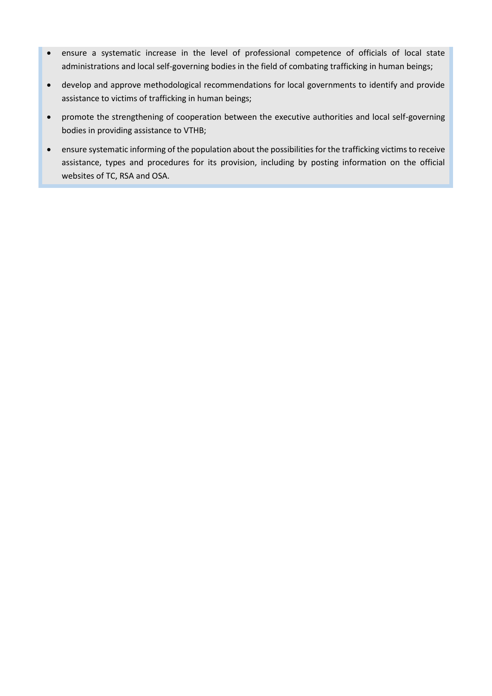- ensure a systematic increase in the level of professional competence of officials of local state administrations and local self-governing bodies in the field of combating trafficking in human beings;
- develop and approve methodological recommendations for local governments to identify and provide assistance to victims of trafficking in human beings;
- promote the strengthening of cooperation between the executive authorities and local self-governing bodies in providing assistance to VTHB;
- ensure systematic informing of the population about the possibilities for the trafficking victims to receive assistance, types and procedures for its provision, including by posting information on the official websites of TC, RSA and OSA.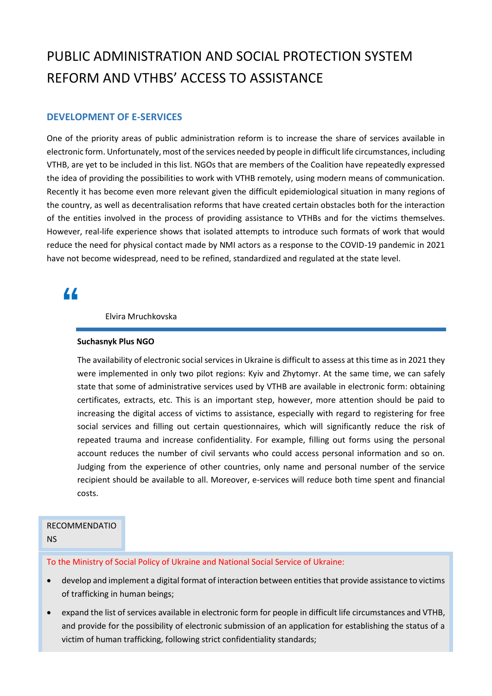## PUBLIC ADMINISTRATION AND SOCIAL PROTECTION SYSTEM REFORM AND VTHBS' ACCESS TO ASSISTANCE

### **DEVELOPMENT OF E-SERVICES**

One of the priority areas of public administration reform is to increase the share of services available in electronic form. Unfortunately, most of the services needed by people in difficult life circumstances, including VTHB, are yet to be included in this list. NGOs that are members of the Coalition have repeatedly expressed the idea of providing the possibilities to work with VTHB remotely, using modern means of communication. Recently it has become even more relevant given the difficult epidemiological situation in many regions of the country, as well as decentralisation reforms that have created certain obstacles both for the interaction of the entities involved in the process of providing assistance to VTHBs and for the victims themselves. However, real-life experience shows that isolated attempts to introduce such formats of work that would reduce the need for physical contact made by NMI actors as a response to the COVID-19 pandemic in 2021 have not become widespread, need to be refined, standardized and regulated at the state level.

### **"**

Elvira Mruchkovska

### **Suchasnyk Plus NGO**

The availability of electronic social services in Ukraine is difficult to assess at this time as in 2021 they were implemented in only two pilot regions: Kyiv and Zhytomyr. At the same time, we can safely state that some of administrative services used by VTHB are available in electronic form: obtaining certificates, extracts, etc. This is an important step, however, more attention should be paid to increasing the digital access of victims to assistance, especially with regard to registering for free social services and filling out certain questionnaires, which will significantly reduce the risk of repeated trauma and increase confidentiality. For example, filling out forms using the personal account reduces the number of civil servants who could access personal information and so on. Judging from the experience of other countries, only name and personal number of the service recipient should be available to all. Moreover, e-services will reduce both time spent and financial costs.

### RECOMMENDATIO

NS

To the Ministry of Social Policy of Ukraine and National Social Service of Ukraine:

- develop and implement a digital format of interaction between entities that provide assistance to victims of trafficking in human beings;
- expand the list of services available in electronic form for people in difficult life circumstances and VTHB, and provide for the possibility of electronic submission of an application for establishing the status of a victim of human trafficking, following strict confidentiality standards;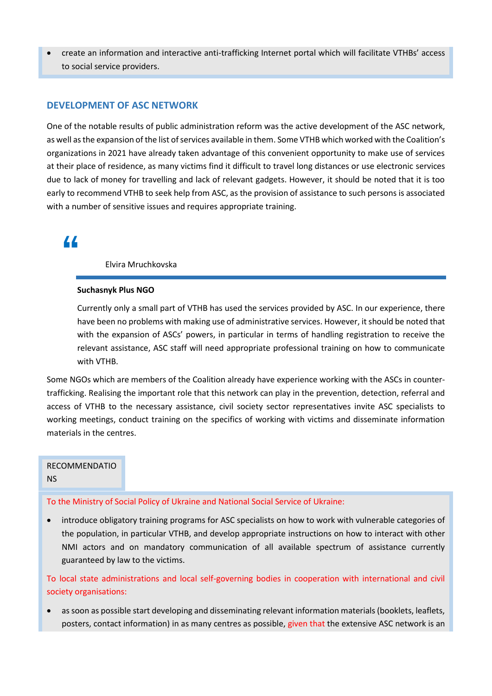• create an information and interactive anti-trafficking Internet portal which will facilitate VTHBs' access to social service providers.

### **DEVELOPMENT OF ASC NETWORK**

One of the notable results of public administration reform was the active development of the ASC network, as well as the expansion of the list of services available in them. Some VTHB which worked with the Coalition's organizations in 2021 have already taken advantage of this convenient opportunity to make use of services at their place of residence, as many victims find it difficult to travel long distances or use electronic services due to lack of money for travelling and lack of relevant gadgets. However, it should be noted that it is too early to recommend VTHB to seek help from ASC, as the provision of assistance to such persons is associated with a number of sensitive issues and requires appropriate training.

### **"**

Elvira Mruchkovska

#### **Suchasnyk Plus NGO**

Currently only a small part of VTHB has used the services provided by ASC. In our experience, there have been no problems with making use of administrative services. However, it should be noted that with the expansion of ASCs' powers, in particular in terms of handling registration to receive the relevant assistance, ASC staff will need appropriate professional training on how to communicate with VTHB.

Some NGOs which are members of the Coalition already have experience working with the ASCs in countertrafficking. Realising the important role that this network can play in the prevention, detection, referral and access of VTHB to the necessary assistance, civil society sector representatives invite ASC specialists to working meetings, conduct training on the specifics of working with victims and disseminate information materials in the centres.

### RECOMMENDATIO NS

To the Ministry of Social Policy of Ukraine and National Social Service of Ukraine:

• introduce obligatory training programs for ASC specialists on how to work with vulnerable categories of the population, in particular VTHB, and develop appropriate instructions on how to interact with other NMI actors and on mandatory communication of all available spectrum of assistance currently guaranteed by law to the victims.

To local state administrations and local self-governing bodies in cooperation with international and civil society organisations:

• as soon as possible start developing and disseminating relevant information materials (booklets, leaflets, posters, contact information) in as many centres as possible, given that the extensive ASC network is an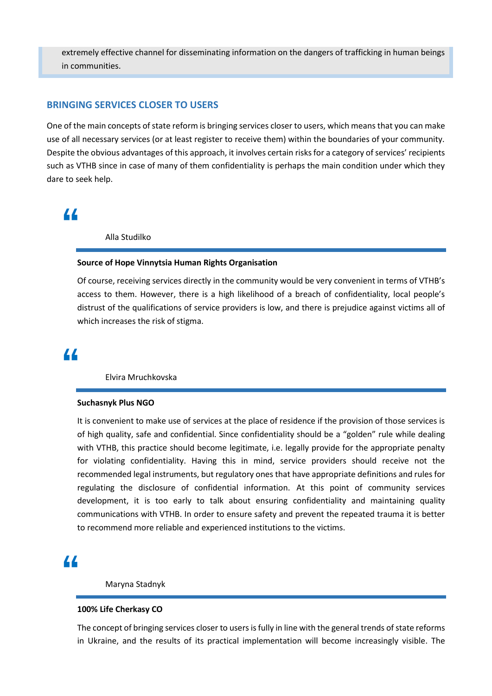extremely effective channel for disseminating information on the dangers of trafficking in human beings in communities.

### **BRINGING SERVICES CLOSER TO USERS**

One of the main concepts of state reform is bringing services closer to users, which means that you can make use of all necessary services (or at least register to receive them) within the boundaries of your community. Despite the obvious advantages of this approach, it involves certain risks for a category of services' recipients such as VTHB since in case of many of them confidentiality is perhaps the main condition under which they dare to seek help.

### **"**

Alla Studilko

#### **Source of Hope Vinnytsia Human Rights Organisation**

Of course, receiving services directly in the community would be very convenient in terms of VTHB's access to them. However, there is a high likelihood of a breach of confidentiality, local people's distrust of the qualifications of service providers is low, and there is prejudice against victims all of which increases the risk of stigma.

### **"**

Elvira Mruchkovska

#### **Suchasnyk Plus NGO**

It is convenient to make use of services at the place of residence if the provision of those services is of high quality, safe and confidential. Since confidentiality should be a "golden" rule while dealing with VTHB, this practice should become legitimate, i.e. legally provide for the appropriate penalty for violating confidentiality. Having this in mind, service providers should receive not the recommended legal instruments, but regulatory ones that have appropriate definitions and rules for regulating the disclosure of confidential information. At this point of community services development, it is too early to talk about ensuring confidentiality and maintaining quality communications with VTHB. In order to ensure safety and prevent the repeated trauma it is better to recommend more reliable and experienced institutions to the victims.

## **"**

#### Maryna Stadnyk

#### **100% Life Cherkasy CO**

The concept of bringing services closer to users is fully in line with the general trends of state reforms in Ukraine, and the results of its practical implementation will become increasingly visible. The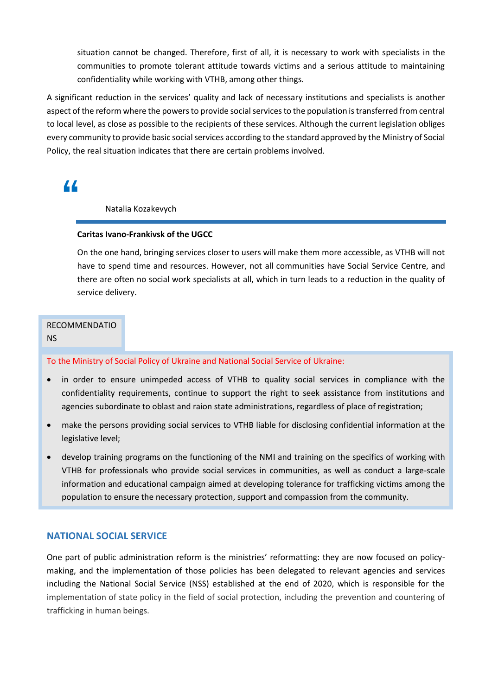situation cannot be changed. Therefore, first of all, it is necessary to work with specialists in the communities to promote tolerant attitude towards victims and a serious attitude to maintaining confidentiality while working with VTHB, among other things.

A significant reduction in the services' quality and lack of necessary institutions and specialists is another aspect of the reform where the powers to provide social services to the population is transferred from central to local level, as close as possible to the recipients of these services. Although the current legislation obliges every community to provide basic social services according to the standard approved by the Ministry of Social Policy, the real situation indicates that there are certain problems involved.

**"**

### Natalia Kozakevych

### **Caritas Ivano-Frankivsk of the UGCC**

On the one hand, bringing services closer to users will make them more accessible, as VTHB will not have to spend time and resources. However, not all communities have Social Service Centre, and there are often no social work specialists at all, which in turn leads to a reduction in the quality of service delivery.

### RECOMMENDATIO NS

#### To the Ministry of Social Policy of Ukraine and National Social Service of Ukraine:

- in order to ensure unimpeded access of VTHB to quality social services in compliance with the confidentiality requirements, continue to support the right to seek assistance from institutions and agencies subordinate to oblast and raion state administrations, regardless of place of registration;
- make the persons providing social services to VTHB liable for disclosing confidential information at the legislative level;
- develop training programs on the functioning of the NMI and training on the specifics of working with VTHB for professionals who provide social services in communities, as well as conduct a large-scale information and educational campaign aimed at developing tolerance for trafficking victims among the population to ensure the necessary protection, support and compassion from the community.

### **NATIONAL SOCIAL SERVICE**

One part of public administration reform is the ministries' reformatting: they are now focused on policymaking, and the implementation of those policies has been delegated to relevant agencies and services including the National Social Service (NSS) established at the end of 2020, which is responsible for the implementation of state policy in the field of social protection, including the prevention and countering of trafficking in human beings.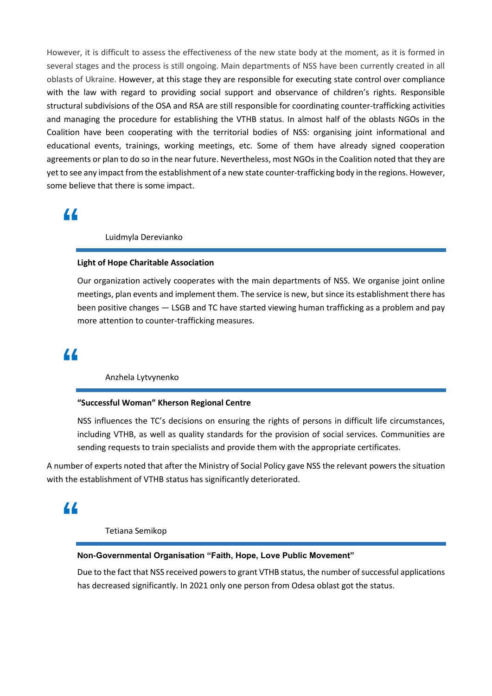However, it is difficult to assess the effectiveness of the new state body at the moment, as it is formed in several stages and the process is still ongoing. Main departments of NSS have been currently created in all oblasts of Ukraine. However, at this stage they are responsible for executing state control over compliance with the law with regard to providing social support and observance of children's rights. Responsible structural subdivisions of the OSA and RSA are still responsible for coordinating counter-trafficking activities and managing the procedure for establishing the VTHB status. In almost half of the oblasts NGOs in the Coalition have been cooperating with the territorial bodies of NSS: organising joint informational and educational events, trainings, working meetings, etc. Some of them have already signed cooperation agreements or plan to do so in the near future. Nevertheless, most NGOs in the Coalition noted that they are yet to see any impact from the establishment of a new state counter-trafficking body in the regions. However, some believe that there is some impact.

### **"**

Luidmyla Derevianko

### **Light of Hope Charitable Association**

Our organization actively cooperates with the main departments of NSS. We organise joint online meetings, plan events and implement them. The service is new, but since its establishment there has been positive changes — LSGB and TC have started viewing human trafficking as a problem and pay more attention to counter-trafficking measures.

### **"**

Anzhela Lytvynenko

#### **"Successful Woman" Kherson Regional Centre**

NSS influences the TC's decisions on ensuring the rights of persons in difficult life circumstances, including VTHB, as well as quality standards for the provision of social services. Communities are sending requests to train specialists and provide them with the appropriate certificates.

A number of experts noted that after the Ministry of Social Policy gave NSS the relevant powers the situation with the establishment of VTHB status has significantly deteriorated.

## **"**

### Tetiana Semikop

### **Non-Governmental Organisation "Faith, Hope, Love Public Movement"**

Due to the fact that NSS received powers to grant VTHB status, the number of successful applications has decreased significantly. In 2021 only one person from Odesa oblast got the status.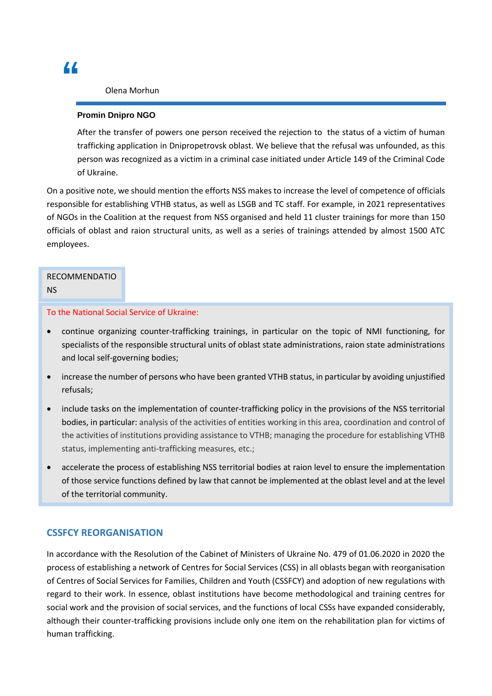Olena Morhun

### **Promin Dnipro NGO**

After the transfer of powers one person received the rejection to the status of a victim of human trafficking application in Dnipropetrovsk oblast. We believe that the refusal was unfounded, as this person was recognized as a victim in a criminal case initiated under Article 149 of the Criminal Code of Ukraine.

On a positive note, we should mention the efforts NSS makes to increase the level of competence of officials responsible for establishing VTHB status, as well as LSGB and TC staff. For example, in 2021 representatives of NGOs in the Coalition at the request from NSS organised and held 11 cluster trainings for more than 150 officials of oblast and raion structural units, as well as a series of trainings attended by almost 1500 ATC employees.

### RECOMMENDATIO NS

### To the National Social Service of Ukraine:

- continue organizing counter-trafficking trainings, in particular on the topic of NMI functioning, for specialists of the responsible structural units of oblast state administrations, raion state administrations and local self-governing bodies;
- increase the number of persons who have been granted VTHB status, in particular by avoiding unjustified refusals;
- include tasks on the implementation of counter-trafficking policy in the provisions of the NSS territorial bodies, in particular: analysis of the activities of entities working in this area, coordination and control of the activities of institutions providing assistance to VTHB; managing the procedure for establishing VTHB status, implementing anti-trafficking measures, etc.;
- accelerate the process of establishing NSS territorial bodies at raion level to ensure the implementation of those service functions defined by law that cannot be implemented at the oblast level and at the level of the territorial community.

### **CSSFCY REORGANISATION**

In accordance with the Resolution of the Cabinet of Ministers of Ukraine No. 479 of 01.06.2020 in 2020 the process of establishing a network of Centres for Social Services (CSS) in all oblasts began with reorganisation of Centres of Social Services for Families, Children and Youth (CSSFCY) and adoption of new regulations with regard to their work. In essence, oblast institutions have become methodological and training centres for social work and the provision of social services, and the functions of local CSSs have expanded considerably, although their counter-trafficking provisions include only one item on the rehabilitation plan for victims of human trafficking.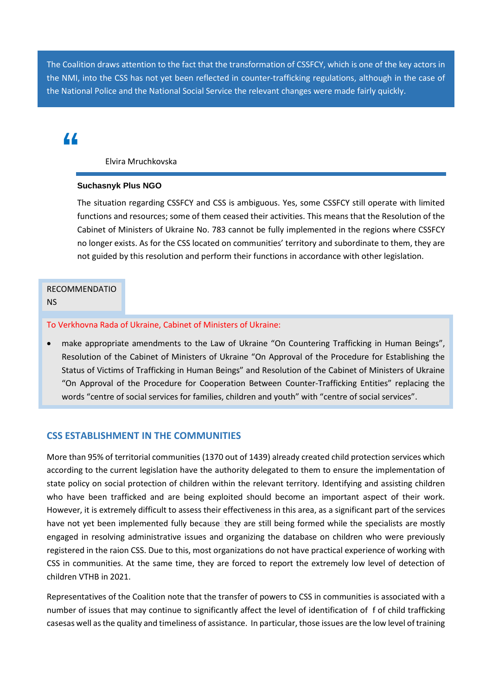The Coalition draws attention to the fact that the transformation of CSSFCY, which is one of the key actors in the NMI, into the CSS has not yet been reflected in counter-trafficking regulations, although in the case of the National Police and the National Social Service the relevant changes were made fairly quickly.

## **"**

Elvira Mruchkovska

### **Suchasnyk Plus NGO**

The situation regarding CSSFCY and CSS is ambiguous. Yes, some CSSFCY still operate with limited functions and resources; some of them ceased their activities. This means that the Resolution of the Cabinet of Ministers of Ukraine No. 783 cannot be fully implemented in the regions where CSSFCY no longer exists. As for the CSS located on communities' territory and subordinate to them, they are not guided by this resolution and perform their functions in accordance with other legislation.

### RECOMMENDATIO

NS

### To Verkhovna Rada of Ukraine, Cabinet of Ministers of Ukraine:

• make appropriate amendments to the Law of Ukraine "On Countering Trafficking in Human Beings", Resolution of the Cabinet of Ministers of Ukraine "On Approval of the Procedure for Establishing the Status of Victims of Trafficking in Human Beings" and Resolution of the Cabinet of Ministers of Ukraine "On Approval of the Procedure for Cooperation Between Counter-Trafficking Entities" replacing the words "centre of social services for families, children and youth" with "centre of social services".

### **CSS ESTABLISHMENT IN THE COMMUNITIES**

More than 95% of territorial communities (1370 out of 1439) already created child protection services which according to the current legislation have the authority delegated to them to ensure the implementation of state policy on social protection of children within the relevant territory. Identifying and assisting children who have been trafficked and are being exploited should become an important aspect of their work. However, it is extremely difficult to assess their effectiveness in this area, as a significant part of the services have not yet been implemented fully because they are still being formed while the specialists are mostly engaged in resolving administrative issues and organizing the database on children who were previously registered in the raion CSS. Due to this, most organizations do not have practical experience of working with CSS in communities. At the same time, they are forced to report the extremely low level of detection of children VTHB in 2021.

Representatives of the Coalition note that the transfer of powers to CSS in communities is associated with a number of issues that may continue to significantly affect the level of identification of f of child trafficking casesas well as the quality and timeliness of assistance. In particular, those issues are the low level of training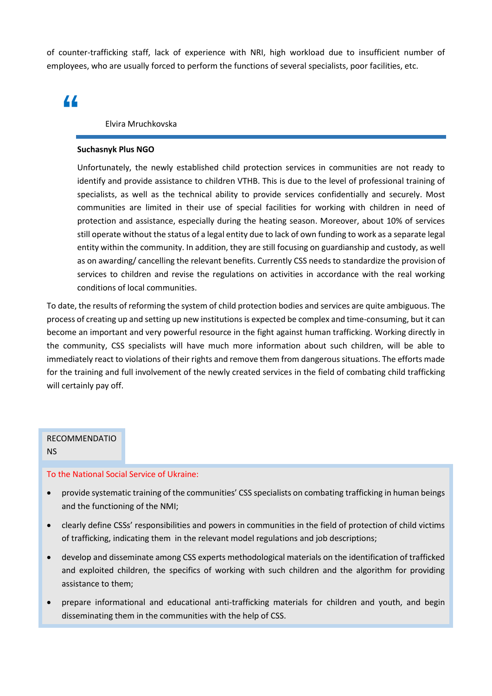of counter-trafficking staff, lack of experience with NRI, high workload due to insufficient number of employees, who are usually forced to perform the functions of several specialists, poor facilities, etc.

## **"**

### Elvira Mruchkovska

#### **Suchasnyk Plus NGO**

Unfortunately, the newly established child protection services in communities are not ready to identify and provide assistance to children VTHB. This is due to the level of professional training of specialists, as well as the technical ability to provide services confidentially and securely. Most communities are limited in their use of special facilities for working with children in need of protection and assistance, especially during the heating season. Moreover, about 10% of services still operate without the status of a legal entity due to lack of own funding to work as a separate legal entity within the community. In addition, they are still focusing on guardianship and custody, as well as on awarding/ cancelling the relevant benefits. Currently CSS needs to standardize the provision of services to children and revise the regulations on activities in accordance with the real working conditions of local communities.

To date, the results of reforming the system of child protection bodies and services are quite ambiguous. The process of creating up and setting up new institutions is expected be complex and time-consuming, but it can become an important and very powerful resource in the fight against human trafficking. Working directly in the community, CSS specialists will have much more information about such children, will be able to immediately react to violations of their rights and remove them from dangerous situations. The efforts made for the training and full involvement of the newly created services in the field of combating child trafficking will certainly pay off.

### RECOMMENDATIO NS

- To the National Social Service of Ukraine:
- provide systematic training of the communities' CSS specialists on combating trafficking in human beings and the functioning of the NMI;
- clearly define CSSs' responsibilities and powers in communities in the field of protection of child victims of trafficking, indicating them in the relevant model regulations and job descriptions;
- develop and disseminate among CSS experts methodological materials on the identification of trafficked and exploited children, the specifics of working with such children and the algorithm for providing assistance to them;
- prepare informational and educational anti-trafficking materials for children and youth, and begin disseminating them in the communities with the help of CSS.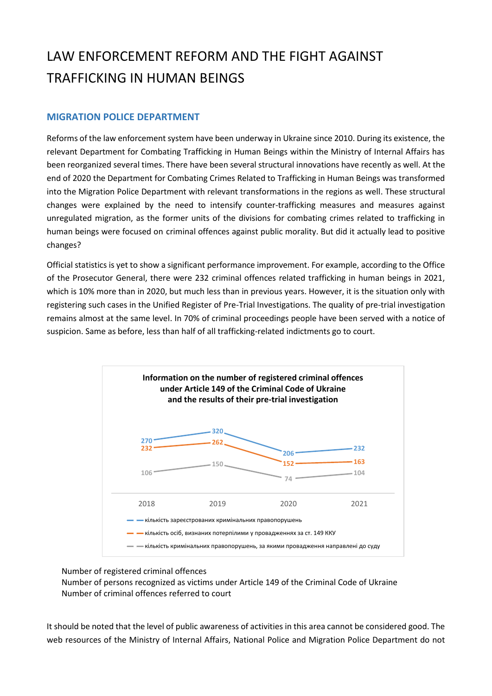## LAW ENFORCEMENT REFORM AND THE FIGHT AGAINST TRAFFICKING IN HUMAN BEINGS

### **MIGRATION POLICE DEPARTMENT**

Reforms of the law enforcement system have been underway in Ukraine since 2010. During its existence, the relevant Department for Combating Trafficking in Human Beings within the Ministry of Internal Affairs has been reorganized several times. There have been several structural innovations have recently as well. At the end of 2020 the Department for Combating Crimes Related to Trafficking in Human Beings was transformed into the Migration Police Department with relevant transformations in the regions as well. These structural changes were explained by the need to intensify counter-trafficking measures and measures against unregulated migration, as the former units of the divisions for combating crimes related to trafficking in human beings were focused on criminal offences against public morality. But did it actually lead to positive changes?

Official statistics is yet to show a significant performance improvement. For example, according to the Office of the Prosecutor General, there were 232 criminal offences related trafficking in human beings in 2021, which is 10% more than in 2020, but much less than in previous years. However, it is the situation only with registering such cases in the Unified Register of Pre-Trial Investigations. The quality of pre-trial investigation remains almost at the same level. In 70% of criminal proceedings people have been served with a notice of suspicion. Same as before, less than half of all trafficking-related indictments go to court.



Number of registered criminal offences

Number of persons recognized as victims under Article 149 of the Criminal Code of Ukraine Number of criminal offences referred to court

It should be noted that the level of public awareness of activities in this area cannot be considered good. The web resources of the Ministry of Internal Affairs, National Police and Migration Police Department do not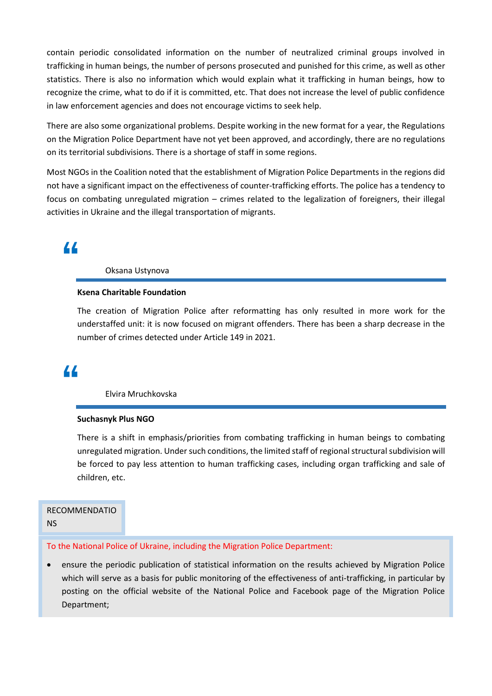contain periodic consolidated information on the number of neutralized criminal groups involved in trafficking in human beings, the number of persons prosecuted and punished for this crime, as well as other statistics. There is also no information which would explain what it trafficking in human beings, how to recognize the crime, what to do if it is committed, etc. That does not increase the level of public confidence in law enforcement agencies and does not encourage victims to seek help.

There are also some organizational problems. Despite working in the new format for a year, the Regulations on the Migration Police Department have not yet been approved, and accordingly, there are no regulations on its territorial subdivisions. There is a shortage of staff in some regions.

Most NGOs in the Coalition noted that the establishment of Migration Police Departments in the regions did not have a significant impact on the effectiveness of counter-trafficking efforts. The police has a tendency to focus on combating unregulated migration – crimes related to the legalization of foreigners, their illegal activities in Ukraine and the illegal transportation of migrants.

## **"**

### Oksana Ustynova

### **Ksena Charitable Foundation**

The creation of Migration Police after reformatting has only resulted in more work for the understaffed unit: it is now focused on migrant offenders. There has been a sharp decrease in the number of crimes detected under Article 149 in 2021.

### **"**

Elvira Mruchkovska

#### **Suchasnyk Plus NGO**

There is a shift in emphasis/priorities from combating trafficking in human beings to combating unregulated migration. Under such conditions, the limited staff of regional structural subdivision will be forced to pay less attention to human trafficking cases, including organ trafficking and sale of children, etc.

### RECOMMENDATIO

NS

### To the National Police of Ukraine, including the Migration Police Department:

• ensure the periodic publication of statistical information on the results achieved by Migration Police which will serve as a basis for public monitoring of the effectiveness of anti-trafficking, in particular by posting on the official website of the National Police and Facebook page of the Migration Police Department;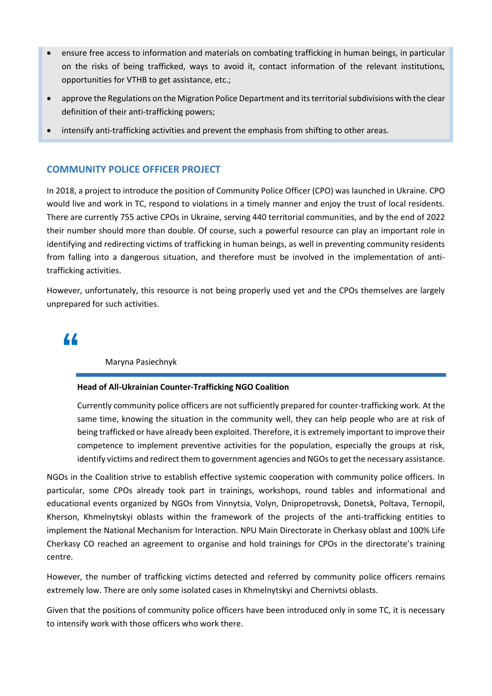- ensure free access to information and materials on combating trafficking in human beings, in particular on the risks of being trafficked, ways to avoid it, contact information of the relevant institutions, opportunities for VTHB to get assistance, etc.;
- approve the Regulations on the Migration Police Department and its territorial subdivisions with the clear definition of their anti-trafficking powers;
- intensify anti-trafficking activities and prevent the emphasis from shifting to other areas.

### **COMMUNITY POLICE OFFICER PROJECT**

In 2018, a project to introduce the position of Community Police Officer (CPO) was launched in Ukraine. CPO would live and work in TC, respond to violations in a timely manner and enjoy the trust of local residents. There are currently 755 active CPOs in Ukraine, serving 440 territorial communities, and by the end of 2022 their number should more than double. Of course, such a powerful resource can play an important role in identifying and redirecting victims of trafficking in human beings, as well in preventing community residents from falling into a dangerous situation, and therefore must be involved in the implementation of antitrafficking activities.

However, unfortunately, this resource is not being properly used yet and the CPOs themselves are largely unprepared for such activities.

### **"**

### Maryna Pasiechnyk

### **Head of All-Ukrainian Counter-Trafficking NGO Coalition**

Currently community police officers are not sufficiently prepared for counter-trafficking work. At the same time, knowing the situation in the community well, they can help people who are at risk of being trafficked or have already been exploited. Therefore, it is extremely important to improve their competence to implement preventive activities for the population, especially the groups at risk, identify victims and redirect them to government agencies and NGOs to get the necessary assistance.

NGOs in the Coalition strive to establish effective systemic cooperation with community police officers. In particular, some CPOs already took part in trainings, workshops, round tables and informational and educational events organized by NGOs from Vinnytsia, Volyn, Dnipropetrovsk, Donetsk, Poltava, Ternopil, Kherson, Khmelnytskyi oblasts within the framework of the projects of the anti-trafficking entities to implement the National Mechanism for Interaction. NPU Main Directorate in Cherkasy oblast and 100% Life Cherkasy CO reached an agreement to organise and hold trainings for CPOs in the directorate's training centre.

However, the number of trafficking victims detected and referred by community police officers remains extremely low. There are only some isolated cases in Khmelnytskyi and Chernivtsi oblasts.

Given that the positions of community police officers have been introduced only in some TC, it is necessary to intensify work with those officers who work there.